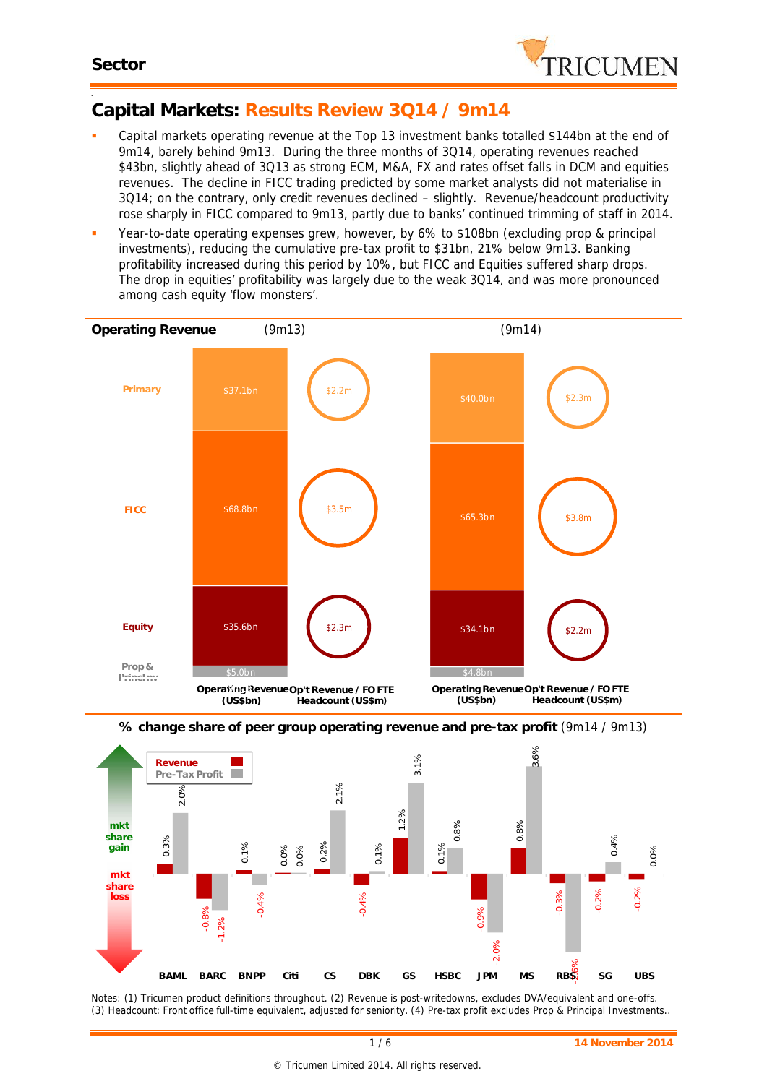

#### -**Capital Markets: Results Review 3Q14 / 9m14**

- Capital markets operating revenue at the Top 13 investment banks totalled \$144bn at the end of 9m14, barely behind 9m13. During the three months of 3Q14, operating revenues reached \$43bn, slightly ahead of 3Q13 as strong ECM, M&A, FX and rates offset falls in DCM and equities revenues. The decline in FICC trading predicted by some market analysts did not materialise in 3Q14; on the contrary, only credit revenues declined – slightly. Revenue/headcount productivity rose sharply in FICC compared to 9m13, partly due to banks' continued trimming of staff in 2014.
- Year-to-date operating expenses grew, however, by 6% to \$108bn (excluding prop & principal investments), reducing the cumulative pre-tax profit to \$31bn, 21% below 9m13. Banking profitability increased during this period by 10%, but FICC and Equities suffered sharp drops. The drop in equities' profitability was largely due to the weak 3Q14, and was more pronounced among cash equity 'flow monsters'.





*Notes: (1) Tricumen product definitions throughout. (2) Revenue is post-writedowns, excludes DVA/equivalent and one-offs. (3) Headcount: Front office full-time equivalent, adjusted for seniority. (4) Pre-tax profit excludes Prop & Principal Investments..*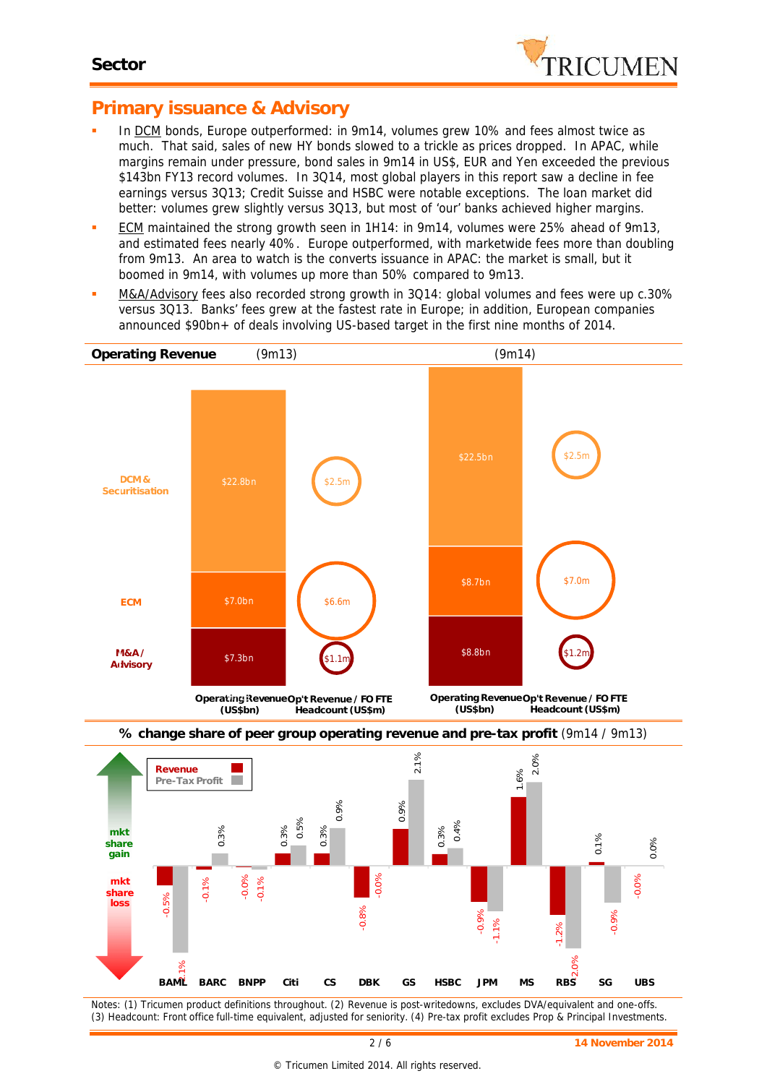

## **Primary issuance & Advisory**

- In DCM bonds, Europe outperformed: in 9m14, volumes grew 10% and fees almost twice as much. That said, sales of new HY bonds slowed to a trickle as prices dropped. In APAC, while margins remain under pressure, bond sales in 9m14 in US\$, EUR and Yen exceeded the previous \$143bn FY13 record volumes. In 3Q14, most global players in this report saw a decline in fee earnings versus 3Q13; Credit Suisse and HSBC were notable exceptions. The loan market did better: volumes grew slightly versus 3Q13, but most of 'our' banks achieved higher margins.
- ECM maintained the strong growth seen in 1H14: in 9m14, volumes were 25% ahead of 9m13, and estimated fees nearly 40%. Europe outperformed, with marketwide fees more than doubling from 9m13. An area to watch is the converts issuance in APAC: the market is small, but it boomed in 9m14, with volumes up more than 50% compared to 9m13.
- M&A/Advisory fees also recorded strong growth in 3Q14: global volumes and fees were up c.30% versus 3Q13. Banks' fees grew at the fastest rate in Europe; in addition, European companies announced \$90bn+ of deals involving US-based target in the first nine months of 2014.



*Notes: (1) Tricumen product definitions throughout. (2) Revenue is post-writedowns, excludes DVA/equivalent and one-offs. (3) Headcount: Front office full-time equivalent, adjusted for seniority. (4) Pre-tax profit excludes Prop & Principal Investments.*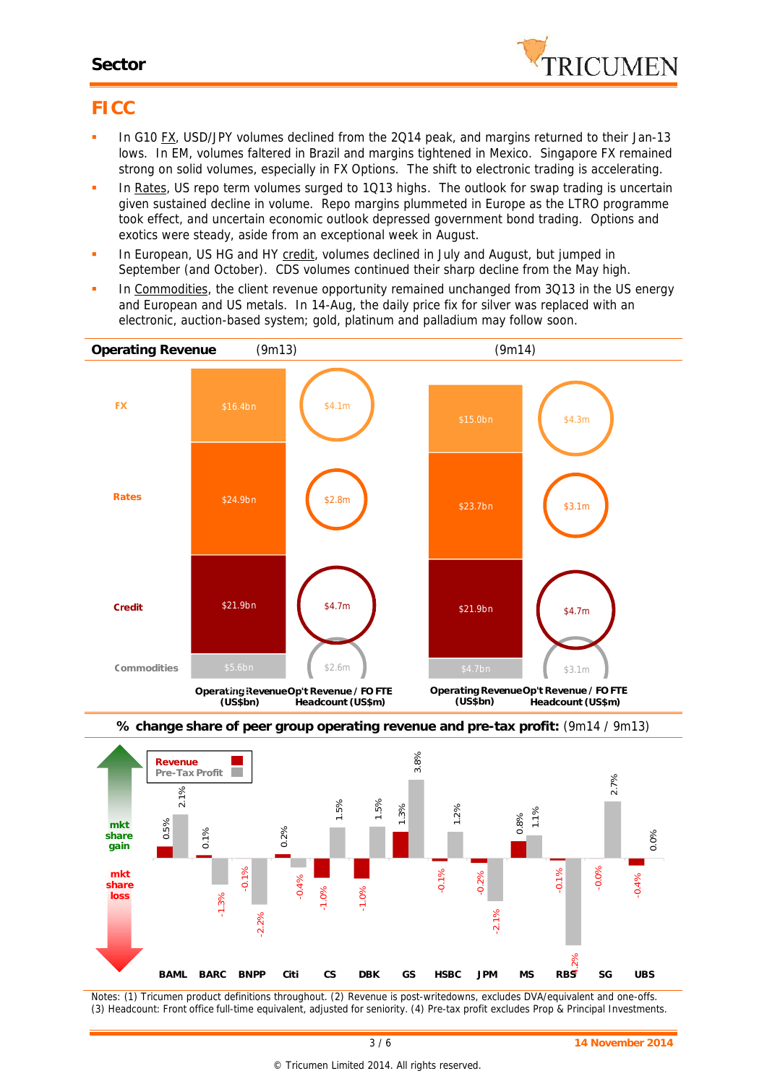#### **Sector**



## **FICC**

- In G10 FX, USD/JPY volumes declined from the 2Q14 peak, and margins returned to their Jan-13 lows. In EM, volumes faltered in Brazil and margins tightened in Mexico. Singapore FX remained strong on solid volumes, especially in FX Options. The shift to electronic trading is accelerating.
- In Rates, US repo term volumes surged to 1Q13 highs. The outlook for swap trading is uncertain given sustained decline in volume. Repo margins plummeted in Europe as the LTRO programme took effect, and uncertain economic outlook depressed government bond trading. Options and exotics were steady, aside from an exceptional week in August.
- In European, US HG and HY credit, volumes declined in July and August, but jumped in September (and October). CDS volumes continued their sharp decline from the May high.
- In Commodities, the client revenue opportunity remained unchanged from 3Q13 in the US energy and European and US metals. In 14-Aug, the daily price fix for silver was replaced with an electronic, auction-based system; gold, platinum and palladium may follow soon.





*Notes: (1) Tricumen product definitions throughout. (2) Revenue is post-writedowns, excludes DVA/equivalent and one-offs. (3) Headcount: Front office full-time equivalent, adjusted for seniority. (4) Pre-tax profit excludes Prop & Principal Investments.*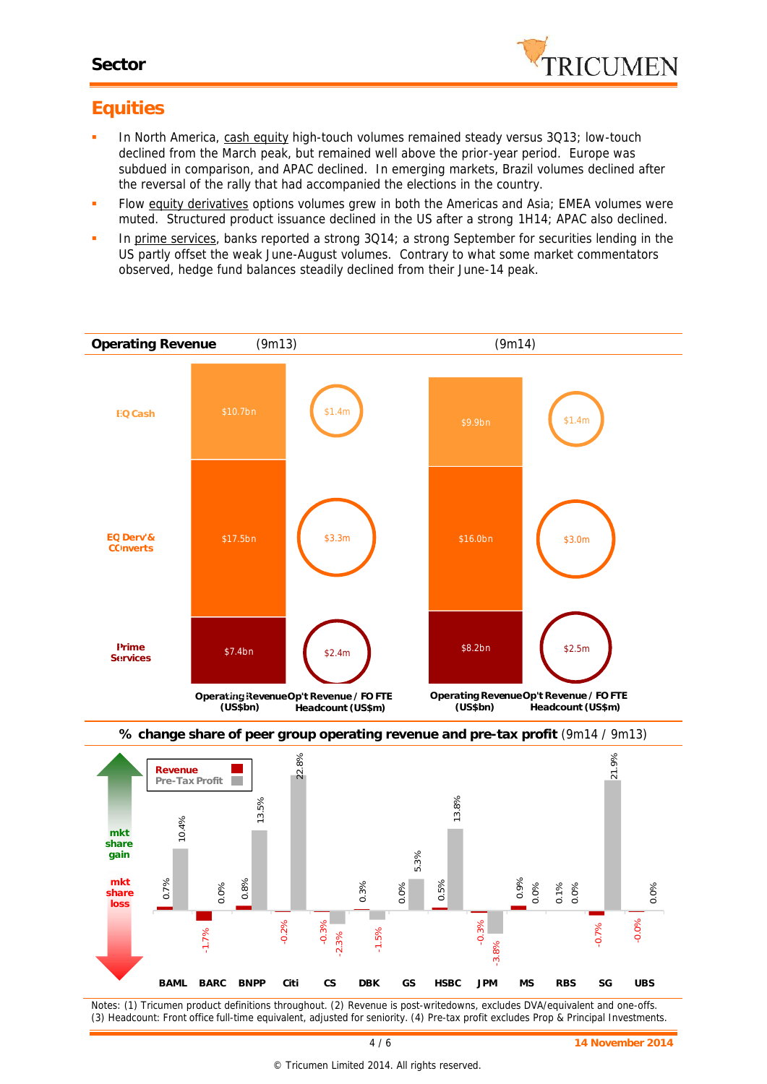

# **Equities**

- In North America, cash equity high-touch volumes remained steady versus 3Q13; low-touch declined from the March peak, but remained well above the prior-year period. Europe was subdued in comparison, and APAC declined. In emerging markets, Brazil volumes declined after the reversal of the rally that had accompanied the elections in the country.
- Flow equity derivatives options volumes grew in both the Americas and Asia; EMEA volumes were muted. Structured product issuance declined in the US after a strong 1H14; APAC also declined.
- In prime services, banks reported a strong 3Q14; a strong September for securities lending in the US partly offset the weak June-August volumes. Contrary to what some market commentators observed, hedge fund balances steadily declined from their June-14 peak.





*Notes: (1) Tricumen product definitions throughout. (2) Revenue is post-writedowns, excludes DVA/equivalent and one-offs. (3) Headcount: Front office full-time equivalent, adjusted for seniority. (4) Pre-tax profit excludes Prop & Principal Investments.*

#### **% change share of peer group operating revenue and pre-tax profit** (9m14 / 9m13)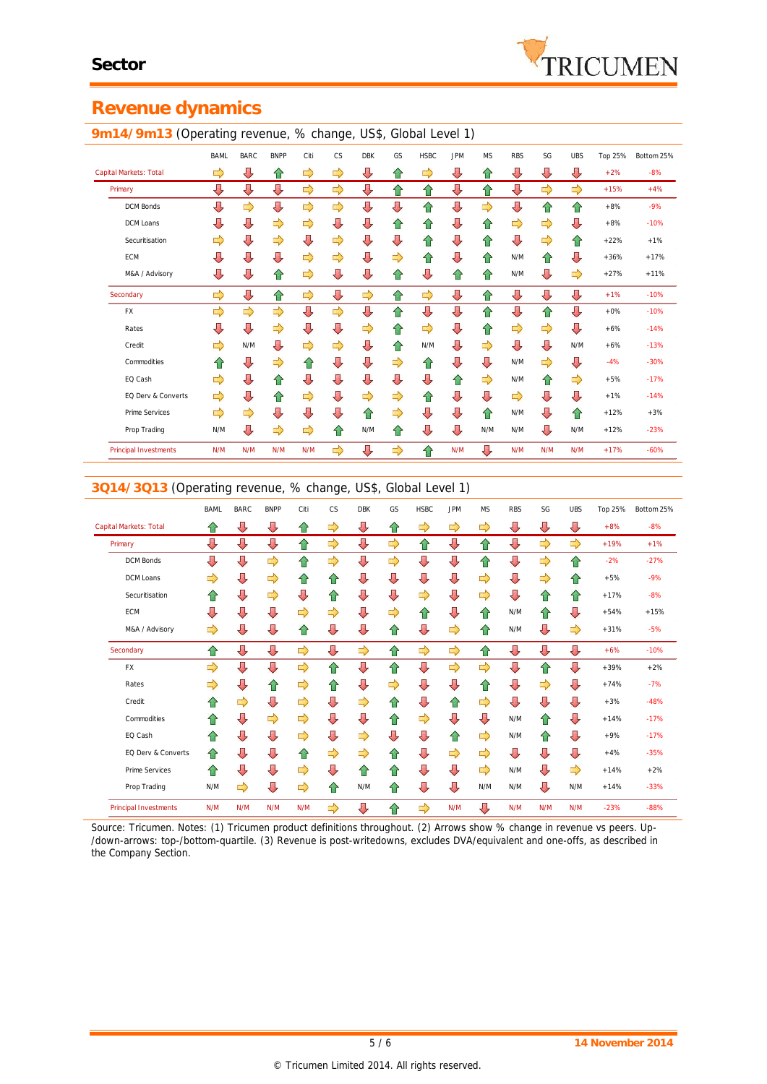## **Revenue dynamics**

#### **9m14/9m13** (Operating revenue, % change, US\$, Global Level 1)

|                              | ັ           |             |             |               | ີ         |            |    |             |            |           |               |               |            |         |            |
|------------------------------|-------------|-------------|-------------|---------------|-----------|------------|----|-------------|------------|-----------|---------------|---------------|------------|---------|------------|
|                              | <b>BAML</b> | <b>BARC</b> | <b>BNPP</b> | Citi          | <b>CS</b> | <b>DBK</b> | GS | <b>HSBC</b> | <b>JPM</b> | <b>MS</b> | <b>RBS</b>    | SG            | <b>UBS</b> | Top 25% | Bottom 25% |
| Capital Markets: Total       | ⇨           | ⇩           | ⇧           | ⇨             | ⇨         | ⇩          | ⇧  | ⇨           | ⇩          | ⇧         | ⇩             | ⇩             | ⇩          | $+2%$   | $-8%$      |
| Primary                      | ⇩           | ⇩           | ⇩           | ⇨             | ⇨         | ⇩          | ⇧  | ⇧           | ⇩          | ⇧         | ⇩             | $\Rightarrow$ | ⇨          | $+15%$  | $+4%$      |
| <b>DCM Bonds</b>             | ⇩           | ⇨           | ⇩           | $\Rightarrow$ | ⇨         | ⇩          | ⇩  | ⇧           | ⇩          | ⇨         | ⇩             | 슙             | ⇧          | $+8%$   | $-9%$      |
| DCM Loans                    | ⇩           | ⇩           | ⇨           | ⇨             | ⇩         | ⇩          | ⇑  | ⇧           | ⇩          | ⇧         | ⇨             | ⇨             | ⇩          | $+8%$   | $-10%$     |
| Securitisation               | ⇨           | ⇩           | ⇨           | ⇩             | ⇨         | ⇩          | ⇩  | ⇧           | ⇩          | ⇧         | ⊕             | ⇨             | ⇧          | $+22%$  | $+1%$      |
| ECM                          | ⇩           | ⇩           | ⇩           | ⇨             | ⇨         | ⇩          | ⇨  | ⇧           | ⇩          | ⇧         | N/M           | ⇧             | ⇩          | $+36%$  | $+17%$     |
| M&A / Advisory               | ⇩           | ⇩           | ⇧           | ⇨             | ⇩         | ⇩          | ⇧  | ⇩           | ⇧          | ⇧         | N/M           | ⇩             | ⇨          | $+27%$  | $+11%$     |
| Secondary                    | ⇨           | ⇩           | ⇧           | ⇨             | ⇩         | ⇨          | ⇧  | ⇨           | ⇩          | ⇧         | ⇩             | ⇩             | ⇩          | $+1%$   | $-10%$     |
| <b>FX</b>                    | ⇨           | ⇨           | ⇨           | ⇩             | ⇨         | ⇩          | ⇧  | ⇩           | ⇩          | ⇧         | ⇩             | ⇧             | ⇩          | $+0\%$  | $-10%$     |
| Rates                        | ⇩           | ⇩           | ⇨           | ⇩             | ⇩         | ⇨          | ⇧  | ⇨           | ⇩          | ⇧         | $\Rightarrow$ | ⇨             | ⇩          | $+6%$   | $-14%$     |
| Credit                       | ⇨           | N/M         | ⇩           | ⇨             | ⇨         | ⊕          | ⇧  | N/M         | ⇩          | ⇨         | ⊕             | ⇩             | N/M        | $+6%$   | $-13%$     |
| Commodities                  | ⇧           | ⇩           | ⇨           | ⇧             | ⇩         | ⇩          | ⇨  | ⇧           | ⇩          | ⇩         | N/M           | $\Rightarrow$ | ⇩          | $-4%$   | $-30%$     |
| EQ Cash                      | ⇨           | ⇩           | ⇧           | ⇩             | ⇩         | ⇩          | ⇩  | ⇩           | ⇧          | ⇨         | N/M           | ⇧             | ⇨          | $+5%$   | $-17%$     |
| EQ Derv & Converts           | ⇨           | ⇩           | ⇧           | ⇨             | ⇩         | ⇨          | ⇨  | ⇧           | ⇩          | ⇩         | $\Rightarrow$ | ⇩             | ⇩          | $+1%$   | $-14%$     |
| Prime Services               | ⇨           | ⇨           | ⇩           | ⇩             | ⇩         | ⇧          | ⇨  | ⇩           | ⇩          | ⇧         | N/M           | ⇩             | ⇧          | $+12%$  | $+3%$      |
| Prop Trading                 | N/M         | ⇩           | ⇨           | ⇨             | 슌         | N/M        | ⇧  | ⇩           | ⇩          | N/M       | N/M           | ⇩             | N/M        | $+12%$  | $-23%$     |
| <b>Principal Investments</b> | N/M         | N/M         | N/M         | N/M           | ⇨         | ⇩          | ⇨  | ⇧           | N/M        | ⇩         | N/M           | N/M           | N/M        | $+17%$  | $-60%$     |

#### **3Q14/3Q13** (Operating revenue, % change, US\$, Global Level 1)

|                              | <b>BAML</b> | <b>BARC</b> | <b>BNPP</b> | Citi          | <b>CS</b>     | <b>DBK</b> | GS | <b>HSBC</b>   | <b>JPM</b> | <b>MS</b>     | <b>RBS</b> | SG  | <b>UBS</b> | Top 25% | Bottom 25% |
|------------------------------|-------------|-------------|-------------|---------------|---------------|------------|----|---------------|------------|---------------|------------|-----|------------|---------|------------|
| Capital Markets: Total       | ⇧           | ⇩           | ⇩           | ⇧             | ⇨             | ⇩          | ⇧  | ⇨             | ⇨          | ⇨             | ⇩          | ⇩   | ⇩          | $+8%$   | $-8%$      |
| Primary                      | ⇩           | ⇩           | ⇩           | ⇧             | $\Rightarrow$ | ⇩          | ⇨  | ⇧             | ⇩          | ⇧             | ⇩          | ⇨   | ⇨          | $+19%$  | $+1%$      |
| <b>DCM Bonds</b>             | ⇩           | ⇩           | ⇨           | ⇧             | ⇨             | ⇩          | ⇨  | ⇩             | ⇩          | ⇧             | ⇩          | ⇨   | ⇧          | $-2%$   | $-27%$     |
| DCM Loans                    | ⇨           | ⇩           | ⇨           | ⇧             | ⇧             | ⇩          | ⇩  | ⇩             | ⇩          | ⇨             | ⇩          | ⇨   | ⇑          | $+5%$   | $-9%$      |
| Securitisation               | ⇑           | ⇩           | ⇨           | ⇩             | ⇧             | ⇩          | ⇩  | ⇨             | ⇩          | ⇨             | ⇩          | 合   | ⇑          | $+17%$  | $-8%$      |
| <b>ECM</b>                   | J           | ⇩           | ⇩           | ⇨             | ⇨             | ⇩          | ⇨  | ⇧             | ⇩          | ⇧             | N/M        | 合   | ⇩          | $+54%$  | $+15%$     |
| M&A / Advisory               | ⇨           | ⇩           | ⇩           | ⇧             | ⇩             | ⇩          | ⇧  | ⇩             | ⇨          | ⇧             | N/M        | ⇩   | ⇨          | $+31%$  | $-5%$      |
| Secondary                    | 合           | ⇩           | ⇩           | $\Rightarrow$ | ⇩             | ⇨          | ⇧  | $\Rightarrow$ | ⇨          | ⇧             | ⇩          | ⇩   | ⇩          | $+6%$   | $-10%$     |
| <b>FX</b>                    | ⇨           | ⇩           | ⇩           | $\Rightarrow$ | ⇧             | ⇩          | ⇧  | ⇩             | ⇨          | $\Rightarrow$ | ⇩          | ⇧   | ⇩          | $+39%$  | $+2%$      |
| Rates                        | ⇨           | ⇩           | ⇧           | ⇨             | ⇧             | ⇩          | ⇨  | ⇩             | ⇩          | ⇧             | ⇩          | ⇨   | ⇩          | $+74%$  | $-7%$      |
| Credit                       | ⇑           | ⇨           | ⇩           | ⇨             | ⇩             | ⇨          | ⇧  | ⇩             | ⇧          | ⇨             | ⇩          | ⇩   | ⇩          | $+3%$   | $-48%$     |
| Commodities                  | ⇑           | ⇩           | ⇨           | ⇨             | ⇩             | ⇩          | 슙  | ⇨             | ⇩          | ⇩             | N/M        | ⇑   | ⇩          | $+14%$  | $-17%$     |
| EQ Cash                      | ⇑           | ⇩           | ⇩           | ⇨             | ⇩             | ⇨          | ⇩  | ⇩             | ⇧          | ⇨             | N/M        | ⇑   | ⇩          | $+9%$   | $-17%$     |
| EQ Derv & Converts           | ⇑           | ⇩           | ⇩           | ⇧             | ⇨             | ⇨          | 슌  | ⇩             | ⇨          | $\Rightarrow$ | ⇩          | ⇩   | ⇩          | $+4%$   | $-35%$     |
| Prime Services               | ⇑           | J           | ⇩           | ⇨             | ⇩             | ⇧          | 슌  | ⇩             | ⇩          | ⇨             | N/M        | ⇩   | ⇨          | $+14%$  | $+2%$      |
| Prop Trading                 | N/M         | ⇨           | ⇩           | ⇨             | ⇧             | N/M        | ⇧  | ⇩             | ⇩          | N/M           | N/M        | ⇩   | N/M        | $+14%$  | $-33%$     |
| <b>Principal Investments</b> | N/M         | N/M         | N/M         | N/M           | ⇨             | ⇩          | 슌  | ⇨             | N/M        | ⇩             | N/M        | N/M | N/M        | $-23%$  | $-88%$     |

*Source: Tricumen. Notes: (1) Tricumen product definitions throughout. (2) Arrows show % change in revenue vs peers. Up- /down-arrows: top-/bottom-quartile. (3) Revenue is post-writedowns, excludes DVA/equivalent and one-offs, as described in the Company Section.*